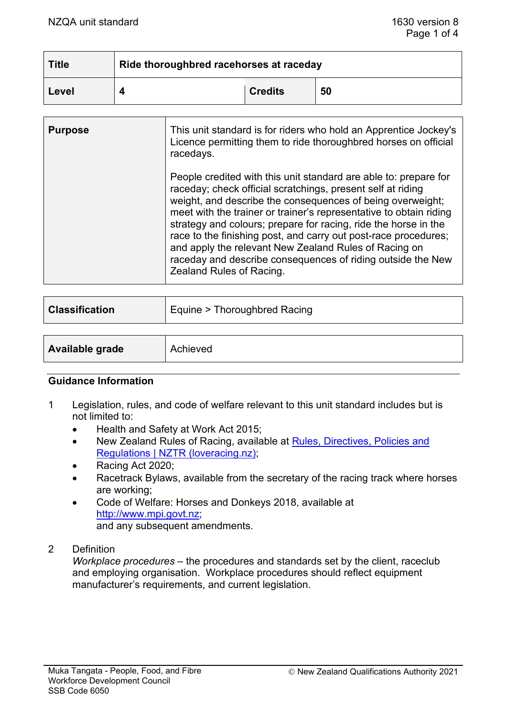| <b>Title</b> | Ride thoroughbred racehorses at raceday |                |    |
|--------------|-----------------------------------------|----------------|----|
| Level        |                                         | <b>Credits</b> | 50 |

| <b>Purpose</b> | This unit standard is for riders who hold an Apprentice Jockey's<br>Licence permitting them to ride thoroughbred horses on official<br>racedays.                                                                                                                                                                                                                                                                                                                                                                                                              |
|----------------|---------------------------------------------------------------------------------------------------------------------------------------------------------------------------------------------------------------------------------------------------------------------------------------------------------------------------------------------------------------------------------------------------------------------------------------------------------------------------------------------------------------------------------------------------------------|
|                | People credited with this unit standard are able to: prepare for<br>raceday; check official scratchings, present self at riding<br>weight, and describe the consequences of being overweight;<br>meet with the trainer or trainer's representative to obtain riding<br>strategy and colours; prepare for racing, ride the horse in the<br>race to the finishing post, and carry out post-race procedures;<br>and apply the relevant New Zealand Rules of Racing on<br>raceday and describe consequences of riding outside the New<br>Zealand Rules of Racing. |

| <b>Classification</b> | Equine > Thoroughbred Racing |
|-----------------------|------------------------------|
|                       |                              |
| Available grade       | Achieved                     |

## **Guidance Information**

- 1 Legislation, rules, and code of welfare relevant to this unit standard includes but is not limited to:
	- Health and Safety at Work Act 2015;
	- New Zealand Rules of Racing, available at Rules, Directives, Policies and [Regulations | NZTR \(loveracing.nz\);](https://loveracing.nz/NZTR/Resources/Rules-Directives-and-Policies.aspx)
	- Racing Act 2020;
	- Racetrack Bylaws, available from the secretary of the racing track where horses are working;
	- Code of Welfare: Horses and Donkeys 2018, available at [http://www.mpi.govt.nz;](http://www.mpi.govt.nz/) and any subsequent amendments.
- 2 Definition

*Workplace procedures* – the procedures and standards set by the client, raceclub and employing organisation. Workplace procedures should reflect equipment manufacturer's requirements, and current legislation.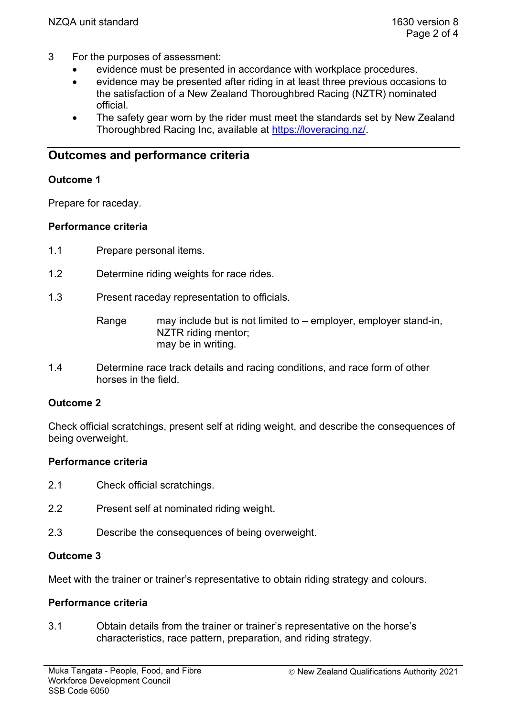- 3 For the purposes of assessment:
	- evidence must be presented in accordance with workplace procedures.
	- evidence may be presented after riding in at least three previous occasions to the satisfaction of a New Zealand Thoroughbred Racing (NZTR) nominated official.
	- The safety gear worn by the rider must meet the standards set by New Zealand Thoroughbred Racing Inc, available at [https://loveracing.nz/.](https://loveracing.nz/)

# **Outcomes and performance criteria**

## **Outcome 1**

Prepare for raceday.

## **Performance criteria**

- 1.1 Prepare personal items.
- 1.2 Determine riding weights for race rides.
- 1.3 Present raceday representation to officials.

Range may include but is not limited to – employer, employer stand-in, NZTR riding mentor; may be in writing.

1.4 Determine race track details and racing conditions, and race form of other horses in the field.

# **Outcome 2**

Check official scratchings, present self at riding weight, and describe the consequences of being overweight.

# **Performance criteria**

- 2.1 Check official scratchings.
- 2.2 Present self at nominated riding weight.
- 2.3 Describe the consequences of being overweight.

## **Outcome 3**

Meet with the trainer or trainer's representative to obtain riding strategy and colours.

## **Performance criteria**

3.1 Obtain details from the trainer or trainer's representative on the horse's characteristics, race pattern, preparation, and riding strategy.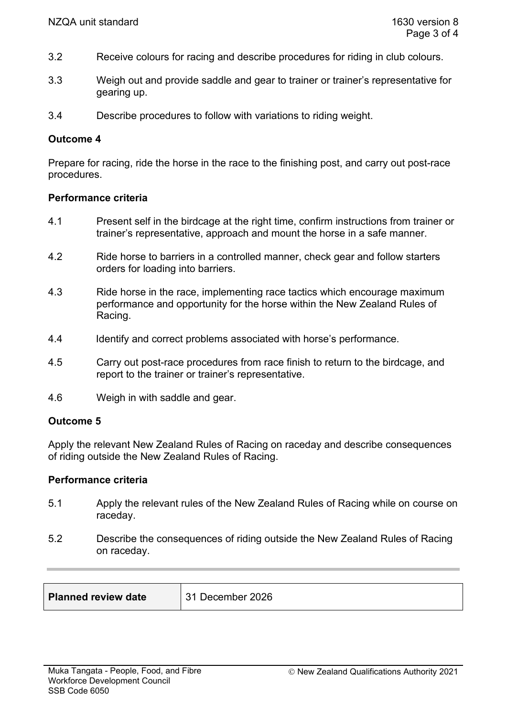- 3.2 Receive colours for racing and describe procedures for riding in club colours.
- 3.3 Weigh out and provide saddle and gear to trainer or trainer's representative for gearing up.
- 3.4 Describe procedures to follow with variations to riding weight.

#### **Outcome 4**

Prepare for racing, ride the horse in the race to the finishing post, and carry out post-race procedures.

#### **Performance criteria**

- 4.1 Present self in the birdcage at the right time, confirm instructions from trainer or trainer's representative, approach and mount the horse in a safe manner.
- 4.2 Ride horse to barriers in a controlled manner, check gear and follow starters orders for loading into barriers.
- 4.3 Ride horse in the race, implementing race tactics which encourage maximum performance and opportunity for the horse within the New Zealand Rules of Racing.
- 4.4 Identify and correct problems associated with horse's performance.
- 4.5 Carry out post-race procedures from race finish to return to the birdcage, and report to the trainer or trainer's representative.
- 4.6 Weigh in with saddle and gear.

#### **Outcome 5**

Apply the relevant New Zealand Rules of Racing on raceday and describe consequences of riding outside the New Zealand Rules of Racing.

## **Performance criteria**

- 5.1 Apply the relevant rules of the New Zealand Rules of Racing while on course on raceday.
- 5.2 Describe the consequences of riding outside the New Zealand Rules of Racing on raceday.

| <b>Planned review date</b> | ' 31 December 2026 |  |
|----------------------------|--------------------|--|
|                            |                    |  |